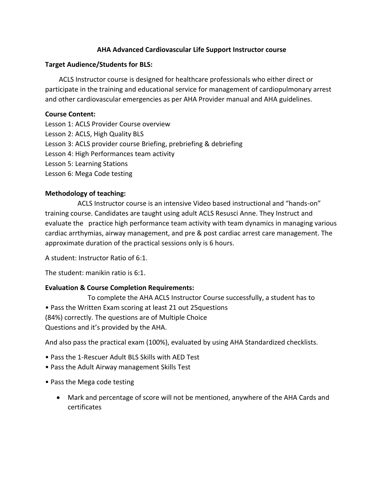#### **AHA Advanced Cardiovascular Life Support Instructor course**

#### **Target Audience/Students for BLS:**

 ACLS Instructor course is designed for healthcare professionals who either direct or participate in the training and educational service for management of cardiopulmonary arrest and other cardiovascular emergencies as per AHA Provider manual and AHA guidelines.

#### **Course Content:**

- Lesson 1: ACLS Provider Course overview
- Lesson 2: ACLS, High Quality BLS
- Lesson 3: ACLS provider course Briefing, prebriefing & debriefing
- Lesson 4: High Performances team activity
- Lesson 5: Learning Stations
- Lesson 6: Mega Code testing

# **Methodology of teaching:**

 ACLS Instructor course is an intensive Video based instructional and "hands-on" training course. Candidates are taught using adult ACLS Resusci Anne. They Instruct and evaluate the practice high performance team activity with team dynamics in managing various cardiac arrthymias, airway management, and pre & post cardiac arrest care management. The approximate duration of the practical sessions only is 6 hours.

A student: Instructor Ratio of 6:1.

The student: manikin ratio is 6:1.

# **Evaluation & Course Completion Requirements:**

 To complete the AHA ACLS Instructor Course successfully, a student has to • Pass the Written Exam scoring at least 21 out 25questions (84%) correctly. The questions are of Multiple Choice Questions and it's provided by the AHA.

And also pass the practical exam (100%), evaluated by using AHA Standardized checklists.

- Pass the 1-Rescuer Adult BLS Skills with AED Test
- Pass the Adult Airway management Skills Test
- Pass the Mega code testing
	- Mark and percentage of score will not be mentioned, anywhere of the AHA Cards and certificates